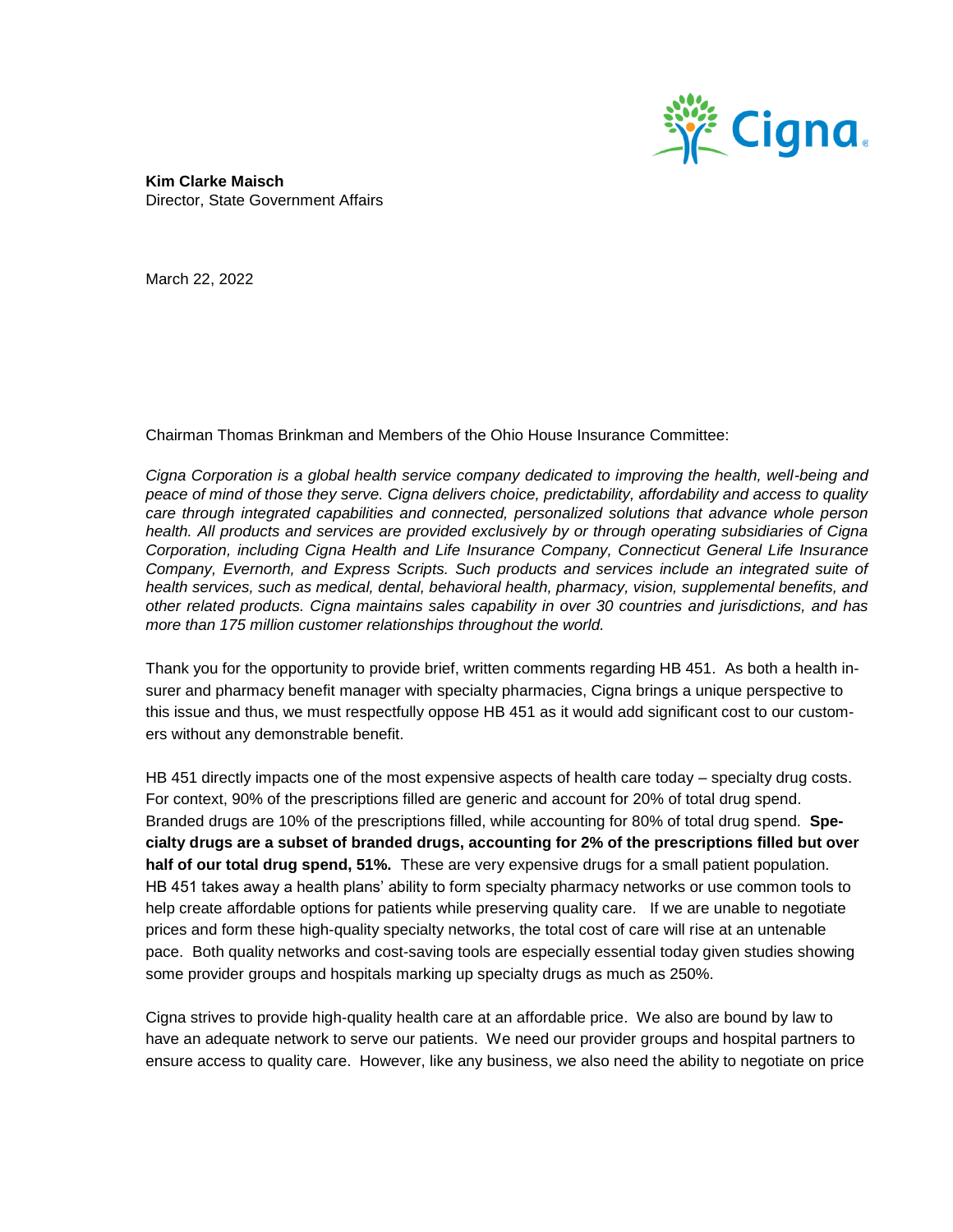

**Kim Clarke Maisch** Director, State Government Affairs

March 22, 2022

Chairman Thomas Brinkman and Members of the Ohio House Insurance Committee:

*Cigna Corporation is a global health service company dedicated to improving the health, well-being and peace of mind of those they serve. Cigna delivers choice, predictability, affordability and access to quality care through integrated capabilities and connected, personalized solutions that advance whole person health. All products and services are provided exclusively by or through operating subsidiaries of Cigna Corporation, including Cigna Health and Life Insurance Company, Connecticut General Life Insurance Company, Evernorth, and Express Scripts. Such products and services include an integrated suite of health services, such as medical, dental, behavioral health, pharmacy, vision, supplemental benefits, and other related products. Cigna maintains sales capability in over 30 countries and jurisdictions, and has more than 175 million customer relationships throughout the world.* 

Thank you for the opportunity to provide brief, written comments regarding HB 451. As both a health insurer and pharmacy benefit manager with specialty pharmacies, Cigna brings a unique perspective to this issue and thus, we must respectfully oppose HB 451 as it would add significant cost to our customers without any demonstrable benefit.

HB 451 directly impacts one of the most expensive aspects of health care today – specialty drug costs. For context, 90% of the prescriptions filled are generic and account for 20% of total drug spend. Branded drugs are 10% of the prescriptions filled, while accounting for 80% of total drug spend. **Specialty drugs are a subset of branded drugs, accounting for 2% of the prescriptions filled but over half of our total drug spend, 51%.** These are very expensive drugs for a small patient population. HB 451 takes away a health plans' ability to form specialty pharmacy networks or use common tools to help create affordable options for patients while preserving quality care. If we are unable to negotiate prices and form these high-quality specialty networks, the total cost of care will rise at an untenable pace. Both quality networks and cost-saving tools are especially essential today given studies showing some provider groups and hospitals marking up specialty drugs as much as 250%.

Cigna strives to provide high-quality health care at an affordable price. We also are bound by law to have an adequate network to serve our patients. We need our provider groups and hospital partners to ensure access to quality care. However, like any business, we also need the ability to negotiate on price